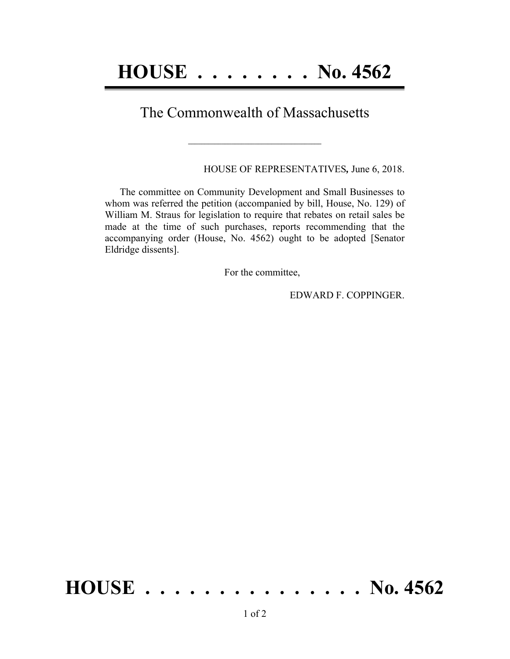## The Commonwealth of Massachusetts

 $\mathcal{L} = \{ \mathcal{L} \}$ 

HOUSE OF REPRESENTATIVES*,* June 6, 2018.

The committee on Community Development and Small Businesses to whom was referred the petition (accompanied by bill, House, No. 129) of William M. Straus for legislation to require that rebates on retail sales be made at the time of such purchases, reports recommending that the accompanying order (House, No. 4562) ought to be adopted [Senator Eldridge dissents].

For the committee,

EDWARD F. COPPINGER.

## **HOUSE . . . . . . . . . . . . . . . No. 4562**